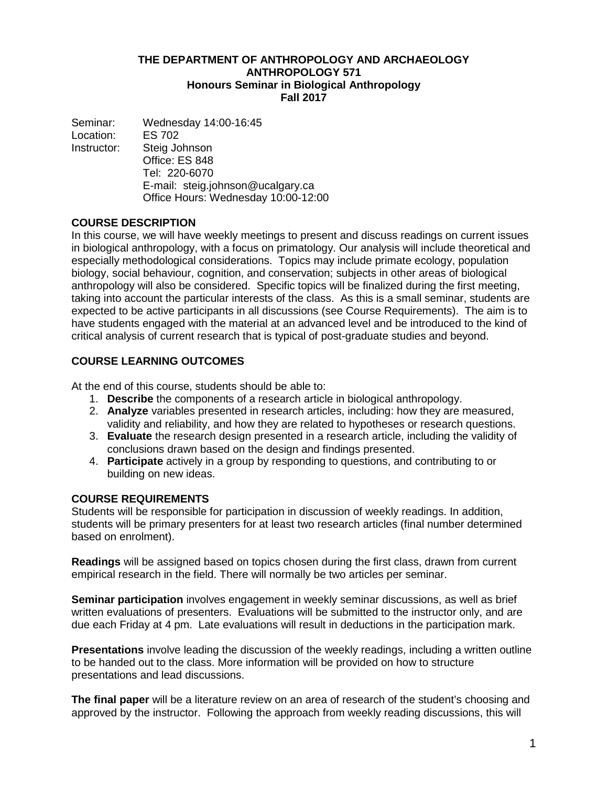## **THE DEPARTMENT OF ANTHROPOLOGY AND ARCHAEOLOGY ANTHROPOLOGY 571 Honours Seminar in Biological Anthropology Fall 2017**

Seminar: Wednesday 14:00-16:45 Location: ES 702 Instructor: Steig Johnson Office: ES 848 Tel: 220-6070 E-mail: steig.johnson@ucalgary.ca Office Hours: Wednesday 10:00-12:00

## **COURSE DESCRIPTION**

In this course, we will have weekly meetings to present and discuss readings on current issues in biological anthropology, with a focus on primatology. Our analysis will include theoretical and especially methodological considerations. Topics may include primate ecology, population biology, social behaviour, cognition, and conservation; subjects in other areas of biological anthropology will also be considered. Specific topics will be finalized during the first meeting, taking into account the particular interests of the class. As this is a small seminar, students are expected to be active participants in all discussions (see Course Requirements). The aim is to have students engaged with the material at an advanced level and be introduced to the kind of critical analysis of current research that is typical of post-graduate studies and beyond.

# **COURSE LEARNING OUTCOMES**

At the end of this course, students should be able to:

- 1. **Describe** the components of a research article in biological anthropology.
- 2. **Analyze** variables presented in research articles, including: how they are measured, validity and reliability, and how they are related to hypotheses or research questions.
- 3. **Evaluate** the research design presented in a research article, including the validity of conclusions drawn based on the design and findings presented.
- 4. **Participate** actively in a group by responding to questions, and contributing to or building on new ideas.

## **COURSE REQUIREMENTS**

Students will be responsible for participation in discussion of weekly readings. In addition, students will be primary presenters for at least two research articles (final number determined based on enrolment).

**Readings** will be assigned based on topics chosen during the first class, drawn from current empirical research in the field. There will normally be two articles per seminar.

**Seminar participation** involves engagement in weekly seminar discussions, as well as brief written evaluations of presenters. Evaluations will be submitted to the instructor only, and are due each Friday at 4 pm. Late evaluations will result in deductions in the participation mark.

**Presentations** involve leading the discussion of the weekly readings, including a written outline to be handed out to the class. More information will be provided on how to structure presentations and lead discussions.

**The final paper** will be a literature review on an area of research of the student's choosing and approved by the instructor. Following the approach from weekly reading discussions, this will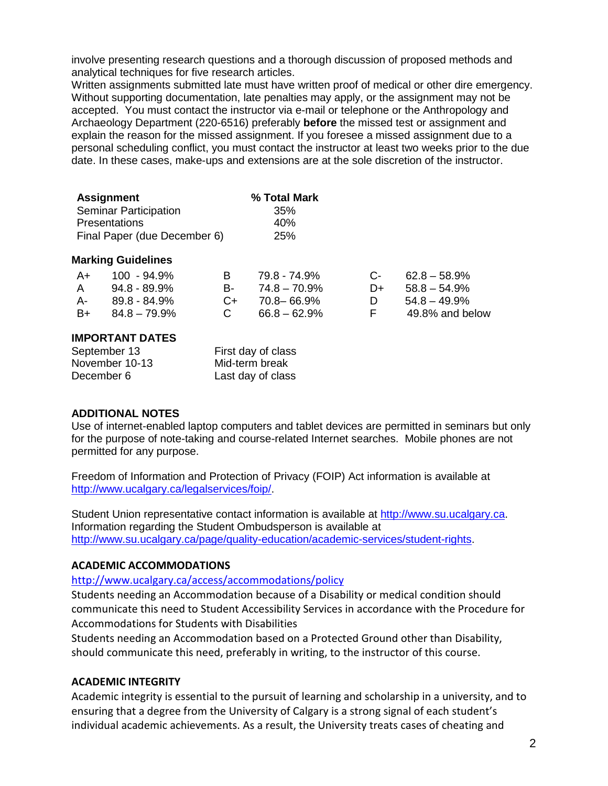involve presenting research questions and a thorough discussion of proposed methods and analytical techniques for five research articles.

Written assignments submitted late must have written proof of medical or other dire emergency. Without supporting documentation, late penalties may apply, or the assignment may not be accepted. You must contact the instructor via e-mail or telephone or the Anthropology and Archaeology Department (220-6516) preferably **before** the missed test or assignment and explain the reason for the missed assignment. If you foresee a missed assignment due to a personal scheduling conflict, you must contact the instructor at least two weeks prior to the due date. In these cases, make-ups and extensions are at the sole discretion of the instructor.

| <b>Assignment</b>            | % Total Mark |
|------------------------------|--------------|
| <b>Seminar Participation</b> | 35%          |
| <b>Presentations</b>         | 40%          |
| Final Paper (due December 6) | <b>25%</b>   |

#### **Marking Guidelines**

|      | $A+ 100 - 94.9%$ | R.           | 79.8 - 74.9%       |      | $C - 62.8 - 58.9\%$ |
|------|------------------|--------------|--------------------|------|---------------------|
| A    | 94.8 - 89.9%     | <b>B</b> -   | $74.8 - 70.9\%$    | $D+$ | $58.8 - 54.9\%$     |
| A- 1 | 89.8 - 84.9%     |              | $C_{+}$ 70.8-66.9% |      | $54.8 - 49.9\%$     |
| $B+$ | 84.8 – 79.9%     | $\mathbf{C}$ | $66.8 - 62.9\%$    | F.   | 49.8% and below     |

### **IMPORTANT DATES**

| September 13   | First day of class |
|----------------|--------------------|
| November 10-13 | Mid-term break     |
| December 6     | Last day of class  |

## **ADDITIONAL NOTES**

Use of internet-enabled laptop computers and tablet devices are permitted in seminars but only for the purpose of note-taking and course-related Internet searches. Mobile phones are not permitted for any purpose.

Freedom of Information and Protection of Privacy (FOIP) Act information is available at [http://www.ucalgary.ca/legalservices/foip/.](http://www.ucalgary.ca/legalservices/foip/)

Student Union representative contact information is available at [http://www.su.ucalgary.ca.](http://www.su.ucalgary.ca/) Information regarding the Student Ombudsperson is available at [http://www.su.ucalgary.ca/page/quality-education/academic-services/student-rights.](http://www.su.ucalgary.ca/page/quality-education/academic-services/student-rights)

#### **ACADEMIC ACCOMMODATIONS**

## <http://www.ucalgary.ca/access/accommodations/policy>

Students needing an Accommodation because of a Disability or medical condition should communicate this need to Student Accessibility Services in accordance with the Procedure for Accommodations for Students with Disabilities

Students needing an Accommodation based on a Protected Ground other than Disability, should communicate this need, preferably in writing, to the instructor of this course.

#### **ACADEMIC INTEGRITY**

Academic integrity is essential to the pursuit of learning and scholarship in a university, and to ensuring that a degree from the University of Calgary is a strong signal of each student's individual academic achievements. As a result, the University treats cases of cheating and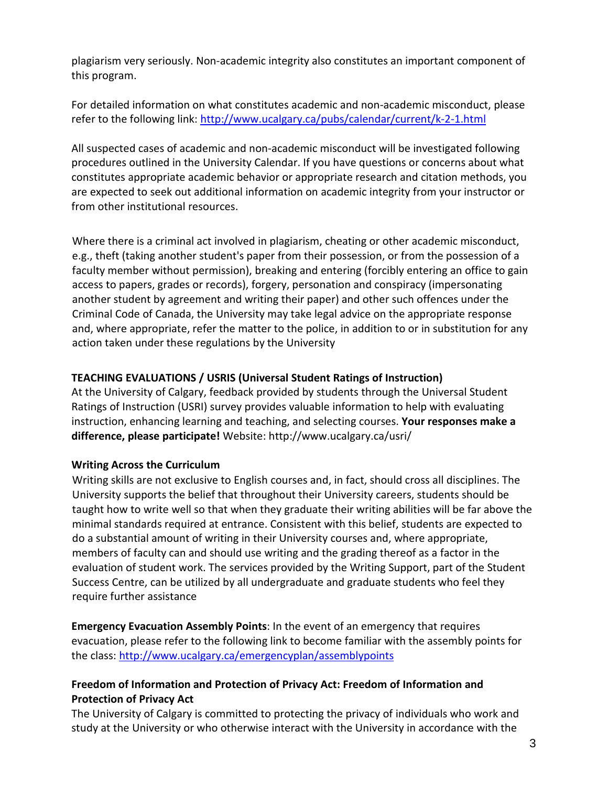plagiarism very seriously. Non-academic integrity also constitutes an important component of this program.

For detailed information on what constitutes academic and non-academic misconduct, please refer to the following link:<http://www.ucalgary.ca/pubs/calendar/current/k-2-1.html>

All suspected cases of academic and non-academic misconduct will be investigated following procedures outlined in the University Calendar. If you have questions or concerns about what constitutes appropriate academic behavior or appropriate research and citation methods, you are expected to seek out additional information on academic integrity from your instructor or from other institutional resources.

Where there is a criminal act involved in plagiarism, cheating or other academic misconduct, e.g., theft (taking another student's paper from their possession, or from the possession of a faculty member without permission), breaking and entering (forcibly entering an office to gain access to papers, grades or records), forgery, personation and conspiracy (impersonating another student by agreement and writing their paper) and other such offences under the Criminal Code of Canada, the University may take legal advice on the appropriate response and, where appropriate, refer the matter to the police, in addition to or in substitution for any action taken under these regulations by the University

# **TEACHING EVALUATIONS / USRIS (Universal Student Ratings of Instruction)**

At the University of Calgary, feedback provided by students through the Universal Student Ratings of Instruction (USRI) survey provides valuable information to help with evaluating instruction, enhancing learning and teaching, and selecting courses. **Your responses make a difference, please participate!** Website: http://www.ucalgary.ca/usri/

# **Writing Across the Curriculum**

Writing skills are not exclusive to English courses and, in fact, should cross all disciplines. The University supports the belief that throughout their University careers, students should be taught how to write well so that when they graduate their writing abilities will be far above the minimal standards required at entrance. Consistent with this belief, students are expected to do a substantial amount of writing in their University courses and, where appropriate, members of faculty can and should use writing and the grading thereof as a factor in the evaluation of student work. The services provided by the Writing Support, part of the Student Success Centre, can be utilized by all undergraduate and graduate students who feel they require further assistance

**Emergency Evacuation Assembly Points**: In the event of an emergency that requires evacuation, please refer to the following link to become familiar with the assembly points for the class:<http://www.ucalgary.ca/emergencyplan/assemblypoints>

# **Freedom of Information and Protection of Privacy Act: Freedom of Information and Protection of Privacy Act**

The University of Calgary is committed to protecting the privacy of individuals who work and study at the University or who otherwise interact with the University in accordance with the